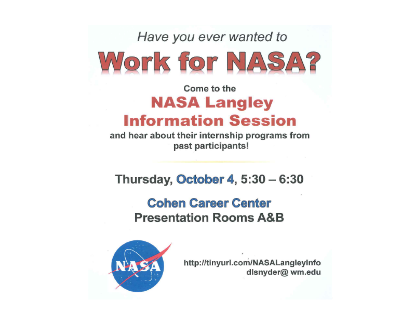Have you ever wanted to

# Work for NASA?

#### Come to the **NASA Langley Information Session**

and hear about their internship programs from past participants!

Thursday, October 4,  $5:30 - 6:30$ 

#### **Cohen Career Center Presentation Rooms A&B**



http://tinyurl.com/NASALangleyInfo dlsnyder@ wm.edu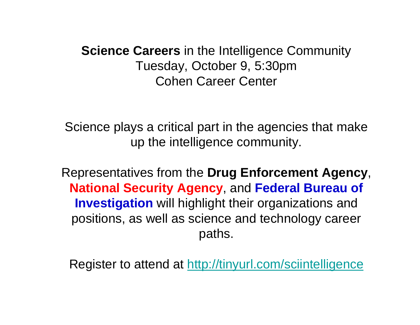**Science Careers** in the Intelligence Community Tuesday, October 9, 5:30pm Cohen Career Center

Science plays a critical part in the agencies that make up the intelligence community.

Representatives from the **Drug Enforcement Agency**, **National Security Agency**, and **Federal Bureau of Investigation** will highlight their organizations and positions, as well as science and technology career paths.

Register to attend at [http://tinyurl.com/sciintelligence](https://owa.wm.edu/owa/redir.aspx?C=Jusd-3_VFEWwF2_d5RXkJ3jU64t9dc8IES_Juq4CjMPY5Cjugi9W-ZylO1xpmY_qlV27vubUGuo.&URL=http%3a%2f%2ftinyurl.com%2fsciintelligence)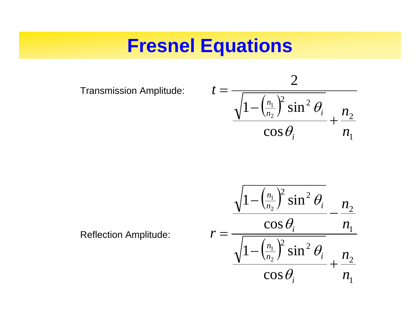#### **Fresnel Equations**

Transmission Amplitude: ( )



Reflection Amplitude:

$$
r = \frac{\sqrt{1 - \left(\frac{n_1}{n_2}\right)^2 \sin^2 \theta_i}}{\sqrt{1 - \left(\frac{n_1}{n_2}\right)^2 \sin^2 \theta_i} - \frac{n_2}{n_1}}
$$

$$
\frac{\sqrt{1 - \left(\frac{n_1}{n_2}\right)^2 \sin^2 \theta_i}}{\cos \theta_i} + \frac{n_2}{n_1}
$$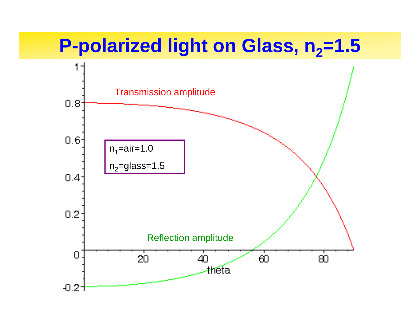#### **P-polarized light on Glass, n<sub>2</sub>=1.5**

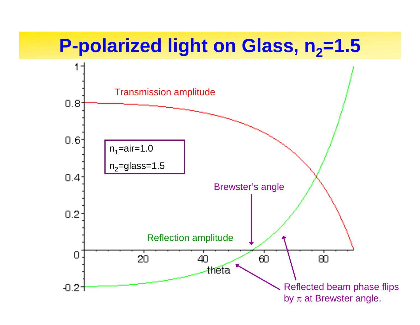#### **P-polarized light on Glass, n<sub>2</sub>=1.5**

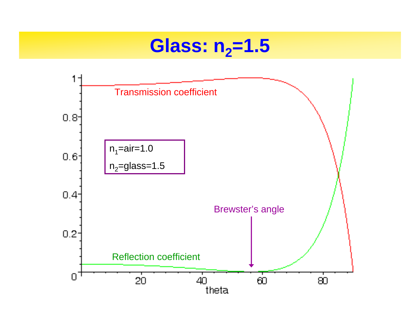#### **Glass: n <sup>2</sup>=1.5**

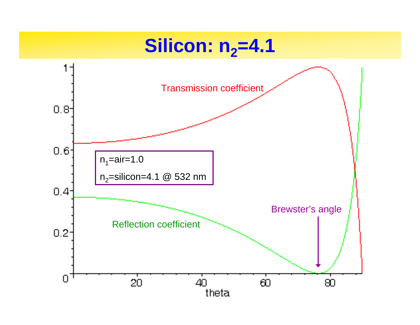## **Silicon: n <sup>2</sup>=4.1**

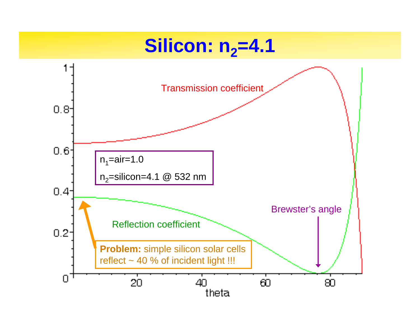## **Silicon: n <sup>2</sup>=4.1**

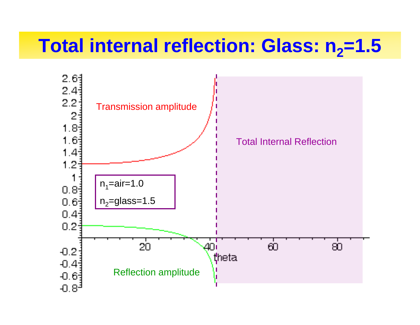# **Total internal reflection: Glass: n <sup>2</sup>=1.5**